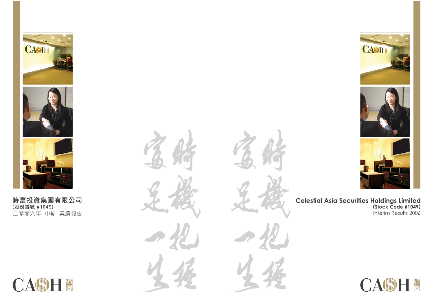

# **Celestial Asia Securities Holdings Limited**<br>(Stock Code #1049) Interim Results 2006



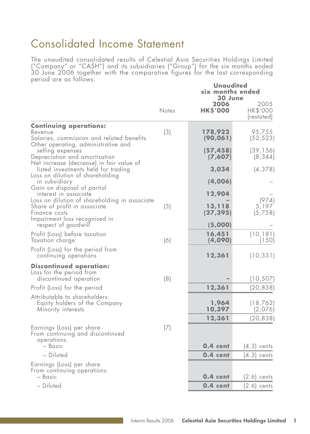### Consolidated Income Statement

The unaudited consolidated results of Celestial Asia Securities Holdings Limited ("Company" or "CASH") and its subsidiaries ("Group") for the six months ended 30 June 2006 together with the comparative figures for the last corresponding period are as follows: **Unaudited**

|                                                                                                                              |       | <u>unauairea</u><br>six months ended<br>30 June |                                |  |
|------------------------------------------------------------------------------------------------------------------------------|-------|-------------------------------------------------|--------------------------------|--|
|                                                                                                                              | Notes | 2006<br><b>HK\$'000</b>                         | 2005<br>HK\$'000<br>(restated) |  |
| <b>Continuing operations:</b><br>Revenue<br>Salaries, commission and related benefits<br>Other operating, administrative and | (3)   | 178,922<br>(90, 061)                            | 95,755<br>(52, 523)            |  |
| selling expenses<br>Depreciation and amortisation                                                                            |       | (57, 458)<br>(7,607)                            | (39, 156)<br>(8, 344)          |  |
| Net increase (decrease) in fair value of<br>listed investments held for trading<br>Loss on dilution of shareholding          |       | 3,034                                           | (4, 378)                       |  |
| in subsidiary                                                                                                                |       | (4,006)                                         |                                |  |
| Gain on disposal of partial<br>interest in associate<br>Loss on dilution of shareholding in associate                        |       | 12,904                                          | (974)                          |  |
| Share of profit in associate<br>Finance costs<br>Impairment loss recognised in                                               | (5)   | 13,118<br>(27, 395)                             | 5,197<br>(5,758)               |  |
| respect of goodwill                                                                                                          |       | (5,000)                                         |                                |  |
| Profit (Loss) before taxation<br>Taxation charge                                                                             | (6)   | 16,451<br>(4,090)                               | (10, 181)<br>(150)             |  |
| Profit (Loss) for the period from<br>continuing operations                                                                   |       | 12,361                                          | (10, 331)                      |  |
| <b>Discontinued operation:</b><br>Loss for the period from<br>discontinued operation                                         | (8)   |                                                 | (10, 507)                      |  |
| Profit (Loss) for the period                                                                                                 |       | 12,361                                          | (20, 838)                      |  |
| Attributable to shareholders:<br>Equity holders of the Company<br>Minority interests                                         |       | 1,964<br>10,397                                 | (18, 762)<br>(2,076)           |  |
|                                                                                                                              |       | 12,361                                          | (20, 838)                      |  |
| Earnings (Loss) per share<br>From continuing and discontinued<br>operations:                                                 | (7)   |                                                 |                                |  |
| - Basic<br>- Diluted                                                                                                         |       | $0.4$ cent<br>$0.4$ cent                        | $(4.3)$ cents<br>$(4.3)$ cents |  |
| Earnings (Loss) per share                                                                                                    |       |                                                 |                                |  |
| From continuing operations:<br>– Basic                                                                                       |       | $0.4$ cent                                      | $(2.6)$ cents                  |  |
| - Diluted                                                                                                                    |       | $0.4$ cent                                      | $(2.6)$ cents                  |  |
|                                                                                                                              |       |                                                 |                                |  |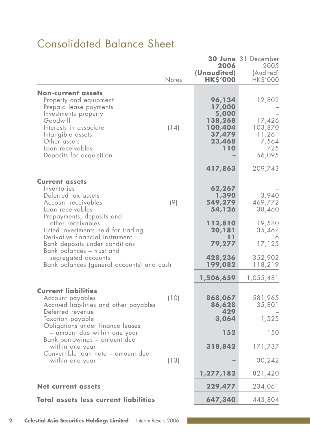# Consolidated Balance Sheet

|                                                                                                                                                                                                                                  | Notes | 2006<br>(Unaudited)<br><b>HK\$'000</b>                                     | 30 June 31 December<br>2005<br>(Audited)<br>HK\$'000            |
|----------------------------------------------------------------------------------------------------------------------------------------------------------------------------------------------------------------------------------|-------|----------------------------------------------------------------------------|-----------------------------------------------------------------|
| <b>Non-current assets</b><br>Property and equipment<br>Prepaid lease payments<br>Investments property<br>Goodwill<br>Interests in associate<br>Intangible assets<br>Other assets<br>Loan receivables<br>Deposits for acquisition | (14)  | 96,134<br>17,000<br>5,000<br>138,268<br>100,404<br>37,479<br>23,468<br>110 | 12,802<br>17,426<br>103,870<br>11,261<br>7,564<br>725<br>56,095 |
|                                                                                                                                                                                                                                  |       | 417,863                                                                    | 209,743                                                         |
| <b>Current assets</b><br>Inventories<br>Deferred tax assets<br>Account receivables<br>Loan receivables                                                                                                                           | (9)   | 62,267<br>1,390<br>549,279<br>54,126                                       | 3,940<br>469,772<br>38,460                                      |
| Prepayments, deposits and<br>other receivables<br>Listed investments held for trading<br>Derivative financial instrument<br>Bank deposits under conditions<br>Bank balances – trust and                                          |       | 112,810<br>20,181<br>11<br>79,277                                          | 19,580<br>35,467<br>16<br>17,125                                |
| segregated accounts<br>Bank balances (general accounts) and cash                                                                                                                                                                 |       | 428,236<br>199,082                                                         | 352,902<br>118,219                                              |
|                                                                                                                                                                                                                                  |       | 1,506,659                                                                  | 1,055,481                                                       |
| <b>Current liabilities</b><br>Account payables<br>Accrued liabilities and other payables<br>Deferred revenue<br>Taxation payable                                                                                                 | (10)  | 868,067<br>86,628<br>429<br>3,064                                          | 581,965<br>35,801<br>1,525                                      |
| Obligations under finance leases<br>– amount due within one year                                                                                                                                                                 |       | 152                                                                        | 150                                                             |
| Bank borrowings – amount due<br>within one year                                                                                                                                                                                  |       | 318,842                                                                    | 171,737                                                         |
| Convertible loan note – amount due<br>within one year                                                                                                                                                                            | (13)  |                                                                            | 30,242                                                          |
|                                                                                                                                                                                                                                  |       | 1,277,182                                                                  | 821,420                                                         |
| Net current assets                                                                                                                                                                                                               |       | 229,477                                                                    | 234,061                                                         |
| Total assets less current liabilities                                                                                                                                                                                            |       | 647,340                                                                    | 443,804                                                         |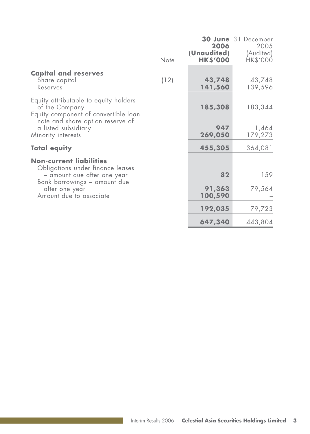|                                                                                                                                     | Note | 2006<br>(Unaudited)<br><b>HK\$'000</b> | <b>30 June</b> 31 December<br>2005<br>(Audited)<br>HK\$'000 |
|-------------------------------------------------------------------------------------------------------------------------------------|------|----------------------------------------|-------------------------------------------------------------|
| <b>Capital and reserves</b><br>Share capital<br>Reserves                                                                            | (12) | 43,748<br>141,560                      | 43,748<br>139,596                                           |
| Equity attributable to equity holders<br>of the Company<br>Equity component of convertible loan<br>note and share option reserve of |      | 185,308                                | 183,344                                                     |
| a listed subsidiary<br>Minority interests                                                                                           |      | 947<br>269,050                         | 1,464<br>179,273                                            |
| <b>Total equity</b>                                                                                                                 |      | 455,305                                | 364,081                                                     |
| Non-current liabilities<br>Obligations under finance leases<br>- amount due after one year<br>Bank borrowings - amount due          |      | 82                                     | 159                                                         |
| atter one year<br>Amount due to associate                                                                                           |      | 91,363<br>100,590                      | 79,564                                                      |
|                                                                                                                                     |      | 192,035                                | 79,723                                                      |
|                                                                                                                                     |      | 647,340                                | 443,804                                                     |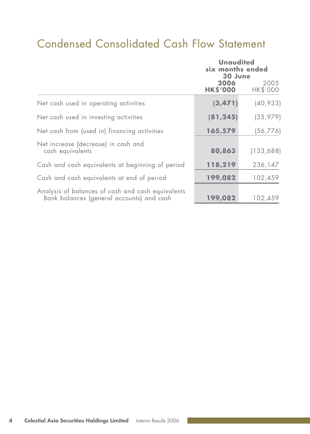# Condensed Consolidated Cash Flow Statement

|                                                                                                | <b>Unaudited</b><br>six months ended<br>30 June |                  |  |
|------------------------------------------------------------------------------------------------|-------------------------------------------------|------------------|--|
|                                                                                                | 2006<br><b>HK\$'000</b>                         | 2005<br>HK\$'000 |  |
| Net cash used in operating activities                                                          | (3, 471)                                        | (40,933)         |  |
| Net cash used in investing activities                                                          | (81, 245)                                       | (35, 979)        |  |
| Net cash from (used in) financing activities                                                   | 165,579                                         | (56, 776)        |  |
| Net increase (decrease) in cash and<br>cash equivalents                                        | 80,863                                          | (133, 688)       |  |
| Cash and cash equivalents at beginning of period                                               | 118,219                                         | 236,147          |  |
| Cash and cash equivalents at end of period                                                     | 199,082                                         | 102,459          |  |
| Analysis of balances of cash and cash equivalents<br>Bank balances (general accounts) and cash | 199,082                                         | 102,459          |  |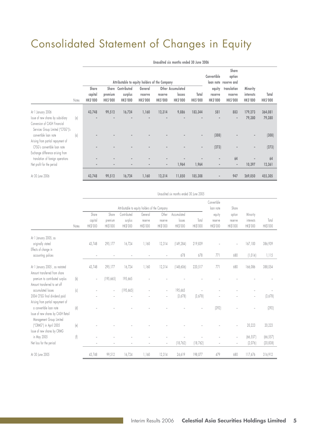# Consolidated Statement of Changes in Equity

|                                                                                                        |                     |                           |                            | Attributable to equity holders of the Company |                            |                           |                          |                          | Convertible                | Share<br>option<br>loan note reserve and |                              |                          |
|--------------------------------------------------------------------------------------------------------|---------------------|---------------------------|----------------------------|-----------------------------------------------|----------------------------|---------------------------|--------------------------|--------------------------|----------------------------|------------------------------------------|------------------------------|--------------------------|
|                                                                                                        |                     | Share                     | Share                      | Contributed                                   | General                    |                           | Other Accumulated        |                          | equity                     | translation                              | Minority                     |                          |
|                                                                                                        | Notes               | capital<br><b>HKS'000</b> | premium<br><b>HK\$'000</b> | surplus<br><b>HKS'000</b>                     | reserve<br><b>HK\$'000</b> | reserve<br><b>HKS'000</b> | losses<br><b>HKS'000</b> | Total<br><b>HK\$'000</b> | reserve<br><b>HK\$'000</b> | reserve<br><b>HKS'000</b>                | interests<br><b>HK\$'000</b> | Total<br><b>HK\$'000</b> |
| At 1 January 2006                                                                                      |                     | 43,748                    | 99,512                     | 16,724                                        | 1,160                      | 12,314                    | 9,886                    | 183,344                  | 581                        | 883                                      | 179,273                      | 364,081                  |
| Issue of new shares by subsidiary<br>Conversion of CASH Financial<br>Services Group Limited ("CFSG")'s | $\lbrack a \rbrack$ | $\overline{\phantom{a}}$  |                            |                                               |                            |                           |                          |                          |                            | $\blacksquare$                           | 79,380                       | 79,380                   |
| convertible loan note<br>Arising from partial repayment of                                             | $\lbrack a \rbrack$ |                           |                            |                                               |                            |                           |                          | $\overline{\phantom{a}}$ | (308)                      |                                          | $\blacksquare$               | (308)                    |
| CFSG's convertible loan note<br>Exchange difference arising from                                       |                     |                           |                            |                                               |                            |                           |                          | $\overline{\phantom{a}}$ | (273)                      |                                          | $\blacksquare$               | (273)                    |
| translation of foreign operations                                                                      |                     |                           | ٠                          |                                               |                            | ٠                         |                          |                          | $\overline{a}$             | 64                                       |                              | 64                       |
| Net profit for the period                                                                              |                     |                           | $\overline{a}$             |                                               |                            | $\blacksquare$            | 1,964                    | 1,964                    | $\blacksquare$             | $\blacksquare$                           | 10,397                       | 12,361                   |
| At 30 June 2006                                                                                        |                     | 43,748                    | 99,512                     | 16,724                                        | 1,160                      | 12,314                    | 11,850                   | 185,308                  |                            | 947                                      | 269,050                      | 455,305                  |

**Unaudited six months ended 30 June 2006**

|                                                                                           |                                                                                                                                                                                                                                                | Unqudited six months ended 30 June 2005 |                              |                                                                                     |                                |                              |                                          |                   |                                            |                                        |                                   |                   |
|-------------------------------------------------------------------------------------------|------------------------------------------------------------------------------------------------------------------------------------------------------------------------------------------------------------------------------------------------|-----------------------------------------|------------------------------|-------------------------------------------------------------------------------------|--------------------------------|------------------------------|------------------------------------------|-------------------|--------------------------------------------|----------------------------------------|-----------------------------------|-------------------|
|                                                                                           |                                                                                                                                                                                                                                                |                                         |                              |                                                                                     |                                |                              |                                          |                   | Convertible                                |                                        |                                   |                   |
|                                                                                           | Notes                                                                                                                                                                                                                                          | Share<br>capital<br>HK\$'000            | Share<br>premium<br>HK\$'000 | Attributable to equity holders of the Company<br>Contributed<br>surplus<br>HK\$'000 | General<br>reserve<br>HK\$'000 | Other<br>reserve<br>HK\$'000 | Accumulated<br>losses<br><b>HK\$'000</b> | Total<br>HK\$'000 | loan note<br>equity<br>reserve<br>HK\$'000 | Share<br>option<br>reserve<br>HK\$'000 | Minority<br>interests<br>HK\$'000 | Total<br>HK\$'000 |
| At 1 January 2005, as<br>originally stated<br>Effects of change in<br>accounting polices  |                                                                                                                                                                                                                                                | 43,748                                  | 295,177                      | 16,724                                                                              | 1,160                          | 12,314                       | (149, 284)<br>678                        | 219,839<br>678    | 771                                        | 680                                    | 167,100<br>(1, 014)               | 386,939<br>1,115  |
| At 1 January 2005, as restated<br>Amount transferred from share                           |                                                                                                                                                                                                                                                | 43,748                                  | 295,177                      | 16,724                                                                              | 1,160                          | 12,314                       | (148,606)                                | 220,517           | 771                                        | 680                                    | 166.086                           | 388,054           |
| premium to contributed surplus<br>Amount transferred to set off                           | b                                                                                                                                                                                                                                              | i.                                      | (195, 665)                   | 195,665                                                                             |                                |                              |                                          |                   |                                            |                                        |                                   |                   |
| accumulated losses                                                                        | $\left[ c\right] % \includegraphics[width=0.9\textwidth]{images/TrDiag-Architecture.png} \caption{The 3D (top) and the 4D (bottom) of the 3D (bottom) and the 4D (bottom) of the 3D (bottom) of the 3D (bottom).} \label{TrDiag-Architecture}$ |                                         |                              | [195, 665]                                                                          |                                |                              | 195,665                                  |                   |                                            |                                        |                                   |                   |
| 2004 CFSG final dividend paid<br>Arising from partial repayment of                        |                                                                                                                                                                                                                                                |                                         |                              |                                                                                     |                                |                              | (3,678)                                  | (3,678)           |                                            |                                        | ä,                                | [3,678]           |
| a convertible loan note<br>Issue of new shares by CASH Retail<br>Management Group Limited | $\lfloor d \rfloor$                                                                                                                                                                                                                            |                                         |                              |                                                                                     |                                |                              |                                          |                   | (292)                                      |                                        |                                   | (292)             |
| ("CRMG") in April 2005<br>Issue of new shares by CRMG                                     | e                                                                                                                                                                                                                                              |                                         |                              |                                                                                     |                                |                              |                                          |                   |                                            |                                        | 20,223                            | 20,223            |
| in May 2005                                                                               | $\left(\begin{smallmatrix} f\\f\end{smallmatrix}\right)$                                                                                                                                                                                       |                                         |                              |                                                                                     |                                |                              |                                          |                   |                                            |                                        | (66, 557)                         | [66, 557]         |
| Net loss for the period                                                                   |                                                                                                                                                                                                                                                |                                         |                              |                                                                                     |                                | i.                           | (18, 762)                                | (18, 762)         |                                            |                                        | [2,076]                           | (20, 838)         |
| At 30 June 2005                                                                           |                                                                                                                                                                                                                                                | 43.748                                  | 99,512                       | 16,724                                                                              | 1,160                          | 12.314                       | 24,619                                   | 198,077           | 479                                        | 680                                    | 117,676                           | 316,912           |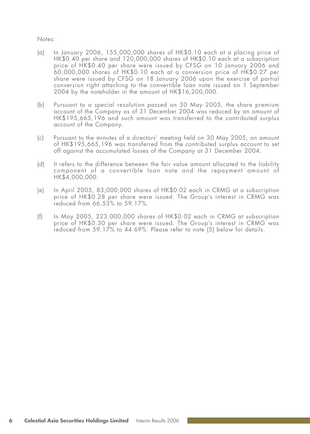Notes:

- (a) In January 2006, 155,000,000 shares of HK\$0.10 each at a placing price of HK\$0.40 per share and 120,000,000 shares of HK\$0.10 each at a subscription price of HK\$0.40 per share were issued by CFSG on 10 January 2006 and 60,000,000 shares of HK\$0.10 each at a conversion price of HK\$0.27 per share were issued by CFSG on 18 January 2006 upon the exercise of partial conversion right attaching to the convertible loan note issued on 1 September 2004 by the noteholder in the amount of HK\$16,200,000.
- (b) Pursuant to a special resolution passed on 30 May 2005, the share premium account of the Company as of 31 December 2004 was reduced by an amount of HK\$195,665,196 and such amount was transferred to the contributed surplus account of the Company.
- (c) Pursuant to the minutes of a directors' meeting held on 30 May 2005, an amount of HK\$195,665,196 was transferred from the contributed surplus account to set off against the accumulated losses of the Company at 31 December 2004.
- (d) It refers to the difference between the fair value amount allocated to the liability component of a convertible loan note and the repayment amount of HK\$4,000,000.
- (e) In April 2005, 83,000,000 shares of HK\$0.02 each in CRMG at a subscription price of HK\$0.28 per share were issued. The Group's interest in CRMG was reduced from 66.53% to 59.17%.
- (f) In May 2005, 223,000,000 shares of HK\$0.02 each in CRMG at subscription price of HK\$0.30 per share were issued. The Group's interest in CRMG was reduced from 59.17% to 44.69%. Please refer to note (5) below for details.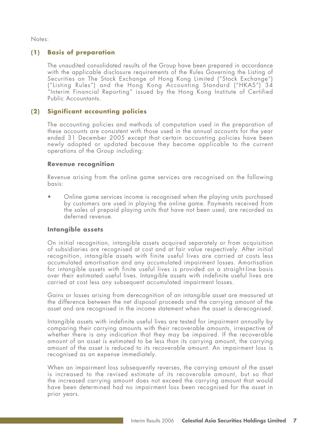Notes:

### **(1) Basis of preparation**

The unaudited consolidated results of the Group have been prepared in accordance with the applicable disclosure requirements of the Rules Governing the Listing of Securities on The Stock Exchange of Hong Kong Limited ("Stock Exchange") ("Listing Rules") and the Hong Kong Accounting Standard ("HKAS") 34 "Interim Financial Reporting" issued by the Hong Kong Institute of Certified Public Accountants.

#### **(2) Significant accounting policies**

The accounting policies and methods of computation used in the preparation of these accounts are consistent with those used in the annual accounts for the year ended 31 December 2005 except that certain accounting policies have been newly adopted or updated because they become applicable to the current operations of the Group including:

#### **Revenue recognition**

Revenue arising from the online game services are recognised on the following basis:

• Online game services income is recognised when the playing units purchased by customers are used in playing the online game. Payments received from the sales of prepaid playing units that have not been used, are recorded as deferred revenue.

#### **Intangible assets**

On initial recognition, intangible assets acquired separately or from acquisition of subsidiaries are recognised at cost and at fair value respectively. After initial recognition, intangible assets with finite useful lives are carried at costs less accumulated amortisation and any accumulated impairment losses. Amortisation for intangible assets with finite useful lives is provided on a straight-line basis over their estimated useful lives. Intangible assets with indefinite useful lives are carried at cost less any subsequent accumulated impairment losses.

Gains or losses arising from derecognition of an intangible asset are measured at the difference between the net disposal proceeds and the carrying amount of the asset and are recognised in the income statement when the asset is derecognised.

Intangible assets with indefinite useful lives are tested for impairment annually by comparing their carrying amounts with their recoverable amounts, irrespective of whether there is any indication that they may be impaired. If the recoverable amount of an asset is estimated to be less than its carrying amount, the carrying amount of the asset is reduced to its recoverable amount. An impairment loss is recognised as an expense immediately.

When an impairment loss subsequently reverses, the carrying amount of the asset is increased to the revised estimate of its recoverable amount, but so that the increased carrying amount does not exceed the carrying amount that would have been determined had no impairment loss been recognised for the asset in prior years.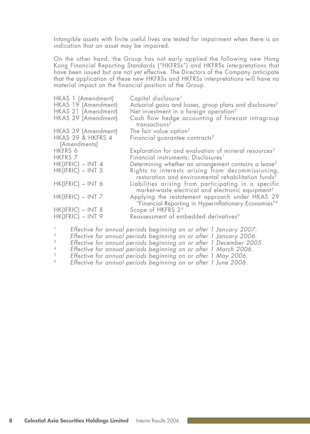Intangible assets with finite useful lives are tested for impairment when there is an indication that an asset may be impaired.

On the other hand, the Group has not early applied the following new Hong Kong Financial Reporting Standards ("HKFRSs") and HKFRSs interpretations that have been issued but are not yet effective. The Directors of the Company anticipate that the application of these new HKFRSs and HKFRSs interpretations will have no material impact on the financial position of the Group.

| HKAS 1 (Amendment)  | Capital disclosure <sup>1</sup>                                                                                                          |
|---------------------|------------------------------------------------------------------------------------------------------------------------------------------|
| HKAS 19 (Amendment) | Actuarial gains and losses, group plans and disclosures <sup>2</sup>                                                                     |
| HKAS 21 (Amendment) | Net investment in a foreign operation <sup>2</sup>                                                                                       |
| HKAS 39 (Amendment) | Cash flow hedge accounting of forecast intragroup<br>transactions <sup>2</sup>                                                           |
| HKAS 39 (Amendment) | The fair value option <sup>2</sup>                                                                                                       |
| HKAS 39 & HKFRS 4   | Financial guarantee contracts <sup>2</sup>                                                                                               |
| (Amendments)        |                                                                                                                                          |
| HKFRS 6             | Exploration for and evaluation of mineral resources <sup>2</sup>                                                                         |
| <b>HKFRS 7</b>      | Financial instruments: Disclosures <sup>1</sup>                                                                                          |
| $HK(IFRIC) - INT 4$ | Determining whether an arrangement contains a lease <sup>2</sup>                                                                         |
| $HK(IFRIC) - INT 5$ | Rights to interests arising from decommissioning,<br>restoration and environmental rehabilitation funds <sup>2</sup>                     |
| $HK(IFRIC) - INT 6$ | Liabilities arising from participating in a specific<br>market-waste electrical and electronic equipment <sup>3</sup>                    |
| $HK(IFRIC) - INT 7$ | Applying the restatement approach under HKAS 29<br>"Financial Reporting in Hyperinflationary Economies" <sup>4</sup>                     |
| $HK(IFRIC) - INT 8$ | Scope of HKFRS 2 <sup>5</sup>                                                                                                            |
| $HK(IFRIC) - INT 9$ | Reassessment of embedded derivatives <sup>6</sup>                                                                                        |
| $\overline{c}$      | Effective for annual periods beginning on or after 1 January 2007.<br>Effective for annual periods beginning on or after 1 January 2006. |

- $\frac{3}{4}$  Effective for annual periods beginning on or after 1 December 2005.
- <sup>4</sup> Effective for annual periods beginning on or after 1 March 2006.<br><sup>5</sup> Effective for annual periods beginning on or after 1 May 2006.
- $5$  Effective for annual periods beginning on or after 1 May 2006.<br> $6$  Effective for annual periods beginning on or after 1 June 2006.
- Effective for annual periods beginning on or after 1 June 2006.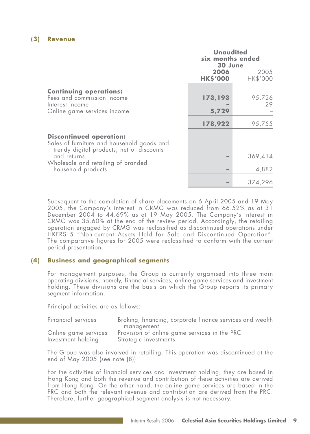#### **(3) Revenue**

|                                                                                                                                                                                                      |                         | <b>Unaudited</b><br>six months ended<br>30 June |  |  |
|------------------------------------------------------------------------------------------------------------------------------------------------------------------------------------------------------|-------------------------|-------------------------------------------------|--|--|
|                                                                                                                                                                                                      | 2006<br><b>HK\$'000</b> | 2005<br>HK\$'000                                |  |  |
| <b>Continuing operations:</b><br>Fees and commission income<br>Interest income<br>Online game services income                                                                                        | 173,193<br>5,729        | 95,726<br>29                                    |  |  |
|                                                                                                                                                                                                      | 178,922                 | 95,755                                          |  |  |
| <b>Discontinued operation:</b><br>Sales of furniture and household goods and<br>trendy digital products, net of discounts<br>and returns<br>Wholesale and retailing of branded<br>household products |                         | 369,414<br>4,882                                |  |  |
|                                                                                                                                                                                                      |                         | 374,296                                         |  |  |

Subsequent to the completion of share placements on 6 April 2005 and 19 May 2005, the Company's interest in CRMG was reduced from 66.52% as at 31 December 2004 to 44.69% as at 19 May 2005. The Company's interest in CRMG was 35.60% at the end of the review period. Accordingly, the retailing operation engaged by CRMG was reclassified as discontinued operations under HKFRS 5 "Non-current Assets Held for Sale and Discontinued Operation". The comparative figures for 2005 were reclassified to conform with the current period presentation.

#### **(4) Business and geographical segments**

For management purposes, the Group is currently organised into three main operating divisions, namely, financial services, online game services and investment holding. These divisions are the basis on which the Group reports its primary segment information.

Principal activities are as follows:

| Financial services   | Broking, financing, corporate finance services and wealth |
|----------------------|-----------------------------------------------------------|
|                      | management                                                |
| Online game services | Provision of online game services in the PRC              |
| Investment holding   | Strategic investments                                     |

The Group was also involved in retailing. This operation was discontinued at the end of May 2005 (see note (8)).

For the activities of financial services and investment holding, they are based in Hong Kong and both the revenue and contribution of these activities are derived from Hong Kong. On the other hand, the online game services are based in the PRC and both the relevant revenue and contribution are derived from the PRC. Therefore, further geographical segment analysis is not necessary.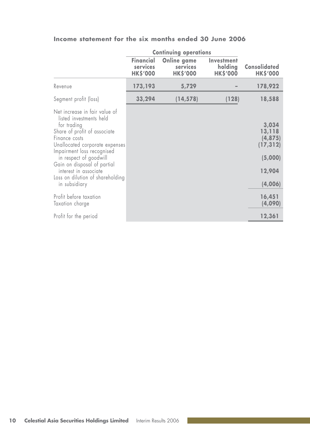|                                                                                                                                                                                                                                                                                                                                 | <b>Continuing operations</b>                    |                                            |                                          |                                                                         |
|---------------------------------------------------------------------------------------------------------------------------------------------------------------------------------------------------------------------------------------------------------------------------------------------------------------------------------|-------------------------------------------------|--------------------------------------------|------------------------------------------|-------------------------------------------------------------------------|
|                                                                                                                                                                                                                                                                                                                                 | <b>Financial</b><br>services<br><b>HK\$'000</b> | Online game<br>services<br><b>HK\$'000</b> | Investment<br>holding<br><b>HK\$'000</b> | Consolidated<br><b>HK\$'000</b>                                         |
| Revenue                                                                                                                                                                                                                                                                                                                         | 173,193                                         | 5,729                                      |                                          | 178,922                                                                 |
| Segment profit (loss)                                                                                                                                                                                                                                                                                                           | 33,294                                          | (14, 578)                                  | (128)                                    | 18,588                                                                  |
| Net increase in fair value of<br>listed investments held<br>for trading<br>Share of profit of associate<br>Finance costs<br>Unallocated corporate expenses<br>Impairment loss recognised<br>in respect of goodwill<br>Gain on disposal of partial<br>interest in associate<br>Loss on dilution of shareholding<br>in subsidiary |                                                 |                                            |                                          | 3,034<br>13,118<br>(4,875)<br>(17, 312)<br>(5,000)<br>12,904<br>(4,006) |
| Profit before taxation<br>Taxation charge                                                                                                                                                                                                                                                                                       |                                                 |                                            |                                          | 16,451<br>(4,090)                                                       |
| Profit for the period                                                                                                                                                                                                                                                                                                           |                                                 |                                            |                                          | 12,361                                                                  |

### **Income statement for the six months ended 30 June 2006**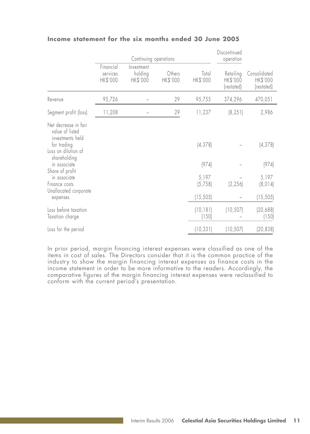|                                                                                                                                   |                                   | Continuing operations             | Discontinued<br>operation |                    |                                     |                                        |
|-----------------------------------------------------------------------------------------------------------------------------------|-----------------------------------|-----------------------------------|---------------------------|--------------------|-------------------------------------|----------------------------------------|
|                                                                                                                                   | Financial<br>services<br>HK\$'000 | Investment<br>holding<br>HK\$'000 | Others<br>HK\$'000        | Total<br>HK\$'000  | Retailing<br>HK\$'000<br>(restated) | Consolidated<br>HK\$'000<br>(restated) |
| Revenue                                                                                                                           | 95,726                            |                                   | 29                        | 95,755             | 374,296                             | 470,051                                |
| Segment profit (loss)                                                                                                             | 11,208                            |                                   | 29                        | 11,237             | (8, 251)                            | 2,986                                  |
| Net decrease in fair<br>value of listed<br>investments held<br>for trading<br>Loss on dilution of<br>shareholding<br>in associate |                                   |                                   |                           | (4, 378)<br>(974)  |                                     | (4, 378)<br>(974)                      |
| Share of profit<br>in associate<br>Finance costs<br>Unallocated corporate                                                         |                                   |                                   |                           | 5,197<br>(5,758)   | (2, 256)                            | 5,197<br>(8, 014)                      |
| expenses                                                                                                                          |                                   |                                   |                           | (15, 505)          |                                     | (15, 505)                              |
| Loss before taxation<br>Taxation charge                                                                                           |                                   |                                   |                           | (10, 181)<br>(150) | (10, 507)                           | (20, 688)<br>(150)                     |
| Loss for the period                                                                                                               |                                   |                                   |                           | (10, 331)          | (10, 507)                           | (20, 838)                              |

#### **Income statement for the six months ended 30 June 2005**

In prior period, margin financing interest expenses were classified as one of the items in cost of sales. The Directors consider that it is the common practice of the industry to show the margin financing interest expenses as finance costs in the income statement in order to be more informative to the readers. Accordingly, the comparative figures of the margin financing interest expenses were reclassified to conform with the current period's presentation.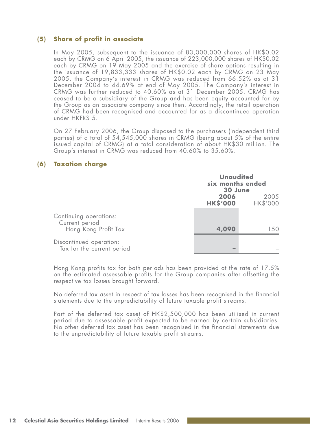#### **(5) Share of profit in associate**

In May 2005, subsequent to the issuance of 83,000,000 shares of HK\$0.02 each by CRMG on 6 April 2005, the issuance of 223,000,000 shares of HK\$0.02 each by CRMG on 19 May 2005 and the exercise of share options resulting in the issuance of 19,833,333 shares of HK\$0.02 each by CRMG on 23 May 2005, the Company's interest in CRMG was reduced from 66.52% as at 31 December 2004 to 44.69% at end of May 2005. The Company's interest in CRMG was further reduced to 40.60% as at 31 December 2005. CRMG has ceased to be a subsidiary of the Group and has been equity accounted for by the Group as an associate company since then. Accordingly, the retail operation of CRMG had been recognised and accounted for as a discontinued operation under HKFRS 5.

On 27 February 2006, the Group disposed to the purchasers (independent third parties) of a total of 54,545,000 shares in CRMG (being about 5% of the entire issued capital of CRMG) at a total consideration of about HK\$30 million. The Group's interest in CRMG was reduced from 40.60% to 35.60%.

#### **(6) Taxation charge**

|                                                                  | <b>Unaudited</b><br>six months ended<br>30 June |                  |  |  |
|------------------------------------------------------------------|-------------------------------------------------|------------------|--|--|
|                                                                  | 2006<br><b>HK\$'000</b>                         | 2005<br>HK\$'000 |  |  |
| Continuing operations:<br>Current period<br>Hong Kong Profit Tax | 4,090                                           | 1.50             |  |  |
| Discontinued operation:<br>Tax for the current period            |                                                 |                  |  |  |

Hong Kong profits tax for both periods has been provided at the rate of 17.5% on the estimated assessable profits for the Group companies after offsetting the respective tax losses brought forward.

No deferred tax asset in respect of tax losses has been recognised in the financial statements due to the unpredictability of future taxable profit streams.

Part of the deferred tax asset of HK\$2,500,000 has been utilised in current period due to assessable profit expected to be earned by certain subsidiaries. No other deferred tax asset has been recognised in the financial statements due to the unpredictability of future taxable profit streams.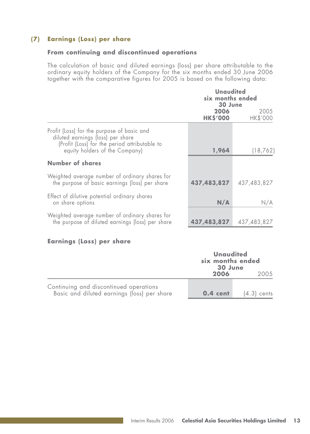### **(7) Earnings (Loss) per share**

### **From continuing and discontinued operations**

The calculation of basic and diluted earnings (loss) per share attributable to the ordinary equity holders of the Company for the six months ended 30 June 2006 together with the comparative figures for 2005 is based on the following data:

|                                                                                                                                  | <b>Unaudited</b><br>six months ended<br>30 June |                         |  |  |
|----------------------------------------------------------------------------------------------------------------------------------|-------------------------------------------------|-------------------------|--|--|
|                                                                                                                                  | 2006<br><b>HKS'000</b>                          | 2005<br><b>HK\$'000</b> |  |  |
| Profit (Loss) for the purpose of basic and<br>diluted earnings (loss) per share<br>(Profit (Loss) for the period attributable to |                                                 |                         |  |  |
| equity holders of the Company)                                                                                                   | 1,964                                           | (18, 762)               |  |  |
| Number of shares                                                                                                                 |                                                 |                         |  |  |
| Weighted average number of ordinary shares for<br>the purpose of basic earnings (loss) per share                                 | 437,483,827                                     | 437,483,827             |  |  |
| Effect of dilutive potential ordinary shares<br>on share options                                                                 | N/A                                             | N/A                     |  |  |
| Weighted average number of ordinary shares for<br>the purpose of diluted earnings (loss) per share                               | 437,483,827                                     | 437,483,827             |  |  |

#### **Earnings (Loss) per share**

|                                                                                       | <b>Unaudited</b><br>six months ended<br>30 June |               |  |  |
|---------------------------------------------------------------------------------------|-------------------------------------------------|---------------|--|--|
|                                                                                       | 2006                                            | 200.5         |  |  |
| Continuing and discontinued operations<br>Basic and diluted earnings (loss) per share | $0.4$ cent                                      | $(4.3)$ cents |  |  |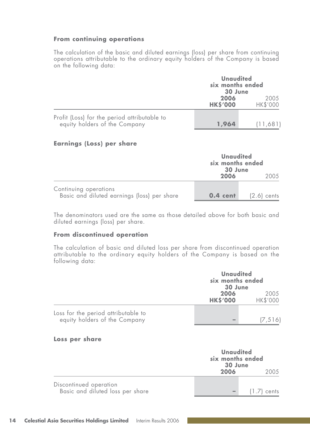#### **From continuing operations**

The calculation of the basic and diluted earnings (loss) per share from continuing operations attributable to the ordinary equity holders of the Company is based on the following data:

|                                                                               | <b>Unaudited</b><br>six months ended<br>30 June |                  |  |
|-------------------------------------------------------------------------------|-------------------------------------------------|------------------|--|
|                                                                               | 2006<br><b>HK\$'000</b>                         | 2005<br>HK\$'000 |  |
| Profit (Loss) for the period attributable to<br>equity holders of the Company | 1,964                                           | (11,681)         |  |

#### **Earnings (Loss) per share**

|                                                                      | <b>Unaudited</b><br>six months ended<br>30 June |               |  |  |
|----------------------------------------------------------------------|-------------------------------------------------|---------------|--|--|
|                                                                      | 2006                                            | 2005          |  |  |
| Continuing operations<br>Basic and diluted earnings (loss) per share | $0.4$ cent                                      | $(2.6)$ cents |  |  |

The denominators used are the same as those detailed above for both basic and diluted earnings (loss) per share.

#### **From discontinued operation**

The calculation of basic and diluted loss per share from discontinued operation attributable to the ordinary equity holders of the Company is based on the following data:

|                                                                      |                         | <b>Unaudited</b><br>six months ended<br>30 June |  |  |
|----------------------------------------------------------------------|-------------------------|-------------------------------------------------|--|--|
|                                                                      | 2006<br><b>HK\$'000</b> | 2005<br>HK\$'000                                |  |  |
| Loss for the period attributable to<br>equity holders of the Company |                         | (7, 516)                                        |  |  |

#### **Loss per share**

|                                                            | <b>Unaudited</b><br>six months ended<br>30 June<br>2006 | 200.5         |
|------------------------------------------------------------|---------------------------------------------------------|---------------|
| Discontinued operation<br>Basic and diluted loss per share |                                                         | $(1.7)$ cents |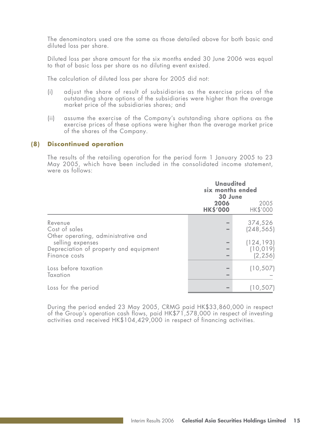The denominators used are the same as those detailed above for both basic and diluted loss per share.

Diluted loss per share amount for the six months ended 30 June 2006 was equal to that of basic loss per share as no diluting event existed.

The calculation of diluted loss per share for 2005 did not:

- (i) adjust the share of result of subsidiaries as the exercise prices of the outstanding share options of the subsidiaries were higher than the average market price of the subsidiaries shares; and
- (ii) assume the exercise of the Company's outstanding share options as the exercise prices of these options were higher than the average market price of the shares of the Company.

#### **(8) Discontinued operation**

The results of the retailing operation for the period form 1 January 2005 to 23 May 2005, which have been included in the consolidated income statement, were as follows:

| <b>Unaudited</b><br>six months ended<br>30 June |                                                              |  |  |
|-------------------------------------------------|--------------------------------------------------------------|--|--|
| 2006<br><b>HK\$'000</b>                         | 2005<br>HK\$'000                                             |  |  |
| -                                               | 374,526<br>(248, 565)<br>(124, 193)<br>(10, 019)<br>(2, 256) |  |  |
|                                                 | (10, 507)<br>(10, 507)                                       |  |  |
|                                                 |                                                              |  |  |

During the period ended 23 May 2005, CRMG paid HK\$33,860,000 in respect of the Group's operation cash flows, paid HK\$71,578,000 in respect of investing activities and received HK\$104,429,000 in respect of financing activities.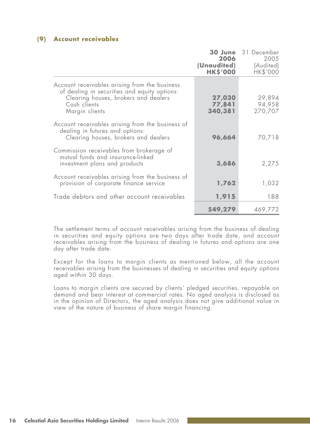#### **(9) Account receivables**

|                                                                                                                                                                         | 2006<br>(Unaudited)<br><b>HK\$'000</b> | <b>30 June</b> 31 December<br>2005<br>(Audited)<br>HK\$'000 |
|-------------------------------------------------------------------------------------------------------------------------------------------------------------------------|----------------------------------------|-------------------------------------------------------------|
| Account receivables arising from the business<br>of dealing in securities and equity options:<br>Clearing houses, brokers and dealers<br>Cash clients<br>Margin clients | 27,030<br>77,841<br>340,381            | 29,894<br>94,958<br>270,707                                 |
| Account receivables arising from the business of<br>dealing in futures and options:<br>Clearing houses, brokers and dealers                                             | 96,664                                 | 70,718                                                      |
| Commission receivables from brokerage of<br>mutual funds and insurance-linked<br>investment plans and products                                                          | 3,686                                  | 2,275                                                       |
| Account receivables arising from the business of<br>provision of corporate finance service                                                                              | 1,762                                  | 1,032                                                       |
| Trade debtors and other account receivables                                                                                                                             | 1,915                                  | 188                                                         |
|                                                                                                                                                                         | 549,279                                | 469,772                                                     |

The settlement terms of account receivables arising from the business of dealing in securities and equity options are two days after trade date, and account receivables arising from the business of dealing in futures and options are one day after trade date.

Except for the loans to margin clients as mentioned below, all the account receivables arising from the businesses of dealing in securities and equity options aged within 30 days.

Loans to margin clients are secured by clients' pledged securities, repayable on demand and bear interest at commercial rates. No aged analysis is disclosed as in the opinion of Directors, the aged analysis does not give additional value in view of the nature of business of share margin financing.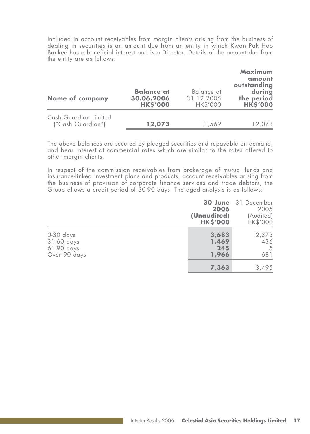Included in account receivables from margin clients arising from the business of dealing in securities is an amount due from an entity in which Kwan Pak Hoo Bankee has a beneficial interest and is a Director. Details of the amount due from the entity are as follows:

| <b>Name of company</b>                     | <b>Balance at</b><br>30.06.2006<br><b>HKS'000</b> | Balance at<br>31.12.2005<br>HK\$'000 | Maximum<br>amount<br>outstanding<br>during<br>the period<br><b>HK\$'000</b> |
|--------------------------------------------|---------------------------------------------------|--------------------------------------|-----------------------------------------------------------------------------|
| Cash Guardian Limited<br>("Cash Guardian") | 12,073                                            | 11,569                               | 12,073                                                                      |

The above balances are secured by pledged securities and repayable on demand, and bear interest at commercial rates which are similar to the rates offered to other margin clients.

In respect of the commission receivables from brokerage of mutual funds and insurance-linked investment plans and products, account receivables arising from the business of provision of corporate finance services and trade debtors, the Group allows a credit period of 30-90 days. The aged analysis is as follows:

|                                                         | 2006<br>(Unaudited)<br><b>HK\$'000</b> | <b>30 June</b> 31 December<br>2005<br>(Audited)<br>HK\$'000 |
|---------------------------------------------------------|----------------------------------------|-------------------------------------------------------------|
| $0-30$ days<br>31-60 days<br>61-90 days<br>Over 90 days | 3,683<br>1,469<br>245<br>1,966         | 2,373<br>436<br>5<br>681                                    |
|                                                         | 7,363                                  | 3,495                                                       |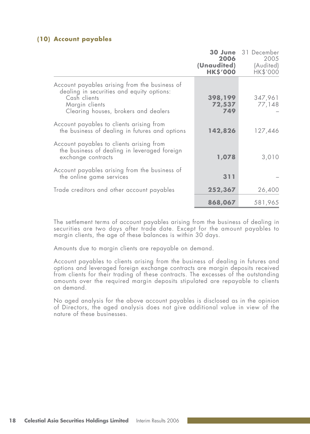#### **(10) Account payables**

|                                                                                                                                                                      | 2006<br>(Unaudited)<br><b>HK\$'000</b> | 30 June 31 December<br>2005<br>(Audited)<br>HK\$'000 |
|----------------------------------------------------------------------------------------------------------------------------------------------------------------------|----------------------------------------|------------------------------------------------------|
| Account payables arising from the business of<br>dealing in securities and equity options:<br>Cash clients<br>Margin clients<br>Clearing houses, brokers and dealers | 398,199<br>72,537<br>749               | 347,961<br>77,148                                    |
| Account payables to clients arising from<br>the business of dealing in futures and options                                                                           | 142,826                                | 127,446                                              |
| Account payables to clients arising from<br>the business of dealing in leveraged foreign<br>exchange contracts                                                       | 1,078                                  | 3,010                                                |
| Account payables arising from the business of<br>the online game services                                                                                            | 311                                    |                                                      |
| Trade creditors and other account payables                                                                                                                           | 252,367                                | 26,400                                               |
|                                                                                                                                                                      | 868,067                                | 581,965                                              |

The settlement terms of account payables arising from the business of dealing in securities are two days after trade date. Except for the amount payables to margin clients, the age of these balances is within 30 days.

Amounts due to margin clients are repayable on demand.

Account payables to clients arising from the business of dealing in futures and options and leveraged foreign exchange contracts are margin deposits received from clients for their trading of these contracts. The excesses of the outstanding amounts over the required margin deposits stipulated are repayable to clients on demand.

No aged analysis for the above account payables is disclosed as in the opinion of Directors, the aged analysis does not give additional value in view of the nature of these businesses.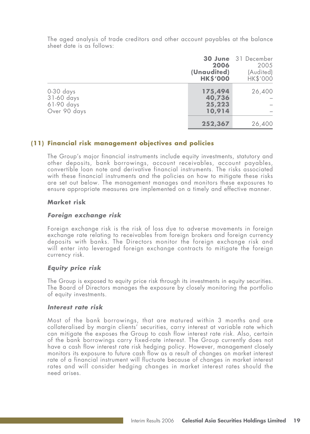|                           |  |  |  |  | The aged analysis of trade creditors and other account payables at the balance |  |  |
|---------------------------|--|--|--|--|--------------------------------------------------------------------------------|--|--|
| sheet date is as follows: |  |  |  |  |                                                                                |  |  |
|                           |  |  |  |  |                                                                                |  |  |

|                                                         | 2006<br>(Unaudited)<br><b>HK\$'000</b> | <b>30 June</b> 31 December<br>2005<br>(Audited)<br>HK\$'000 |
|---------------------------------------------------------|----------------------------------------|-------------------------------------------------------------|
| $0-30$ days<br>31-60 days<br>61-90 days<br>Over 90 days | 175,494<br>40,736<br>25,223<br>10,914  | 26,400                                                      |
|                                                         | 252,367                                | 26,400                                                      |

#### **(11) Financial risk management objectives and policies**

The Group's major financial instruments include equity investments, statutory and other deposits, bank borrowings, account receivables, account payables, convertible loan note and derivative financial instruments. The risks associated with these financial instruments and the policies on how to mitigate these risks are set out below. The management manages and monitors these exposures to ensure appropriate measures are implemented on a timely and effective manner.

#### **Market risk**

#### **Foreign exchange risk**

Foreign exchange risk is the risk of loss due to adverse movements in foreign exchange rate relating to receivables from foreign brokers and foreign currency deposits with banks. The Directors monitor the foreign exchange risk and will enter into leveraged foreign exchange contracts to mitigate the foreign currency risk.

#### **Equity price risk**

The Group is exposed to equity price risk through its investments in equity securities. The Board of Directors manages the exposure by closely monitoring the portfolio of equity investments.

#### **Interest rate risk**

Most of the bank borrowings, that are matured within 3 months and are collateralised by margin clients' securities, carry interest at variable rate which can mitigate the exposes the Group to cash flow interest rate risk. Also, certain of the bank borrowings carry fixed-rate interest. The Group currently does not have a cash flow interest rate risk hedging policy. However, management closely monitors its exposure to future cash flow as a result of changes on market interest rate of a financial instrument will fluctuate because of changes in market interest rates and will consider hedging changes in market interest rates should the need arises.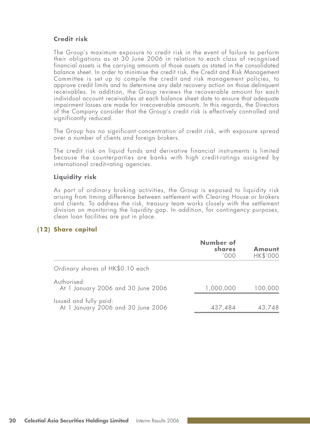#### **Credit risk**

The Group's maximum exposure to credit risk in the event of failure to perform their obligations as at 30 June 2006 in relation to each class of recognised financial assets is the carrying amounts of those assets as stated in the consolidated balance sheet. In order to minimise the credit risk, the Credit and Risk Management Committee is set up to compile the credit and risk management policies, to approve credit limits and to determine any debt recovery action on those delinquent receivables. In addition, the Group reviews the recoverable amount for each individual account receivables at each balance sheet date to ensure that adequate impairment losses are made for irrecoverable amounts. In this regards, the Directors of the Company consider that the Group's credit risk is effectively controlled and significantly reduced.

The Group has no significant concentration of credit risk, with exposure spread over a number of clients and foreign brokers.

The credit risk on liquid funds and derivative financial instruments is limited because the counterparties are banks with high credit-ratings assigned by international credit-rating agencies.

#### **Liquidity risk**

As part of ordinary broking activities, the Group is exposed to liquidity risk arising from timing difference between settlement with Clearing House or brokers and clients. To address the risk, treasury team works closely with the settlement division on monitoring the liquidity gap. In addition, for contingency purposes, clean loan facilities are put in place.

### **(12) Share capital**

|                                                              | Number of<br>shares<br>$'$ $\cap$ $\cap$ | Amount<br>HK\$'000 |
|--------------------------------------------------------------|------------------------------------------|--------------------|
| Ordinary shares of HK\$0.10 each                             |                                          |                    |
| Authorised:<br>At 1 January 2006 and 30 June 2006            | 1,000,000                                | 100,000            |
| Issued and fully paid:<br>At 1 January 2006 and 30 June 2006 | 437,484                                  | 43,748             |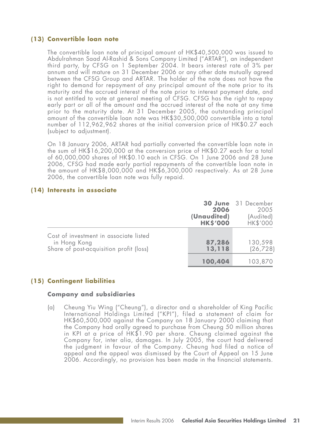#### **(13) Convertible loan note**

The convertible loan note of principal amount of HK\$40,500,000 was issued to Abdulrahman Saad Al-Rashid & Sons Company Limited ("ARTAR"), an independent third party, by CFSG on 1 September 2004. It bears interest rate of 3% per annum and will mature on 31 December 2006 or any other date mutually agreed between the CFSG Group and ARTAR. The holder of the note does not have the right to demand for repayment of any principal amount of the note prior to its maturity and the accrued interest of the note prior to interest payment date, and is not entitled to vote at general meeting of CFSG. CFSG has the right to repay early part or all of the amount and the accrued interest of the note at any time prior to the maturity date. At 31 December 2005, the outstanding principal amount of the convertible loan note was HK\$30,500,000 convertible into a total number of 112,962,962 shares at the initial conversion price of HK\$0.27 each (subject to adjustment).

On 18 January 2006, ARTAR had partially converted the convertible loan note in the sum of HK\$16,200,000 at the conversion price of HK\$0.27 each for a total of 60,000,000 shares of HK\$0.10 each in CFSG. On 1 June 2006 and 28 June 2006, CFSG had made early partial repayments of the convertible loan note in the amount of HK\$8,000,000 and HK\$6,300,000 respectively. As at 28 June 2006, the convertible loan note was fully repaid.

#### **(14) Interests in associate**

|                                                                                                   | 2006<br>(Unaudited)<br><b>HKS'000</b> | <b>30 June</b> 31 December<br>2005<br>(Audited)<br>HK\$'000 |
|---------------------------------------------------------------------------------------------------|---------------------------------------|-------------------------------------------------------------|
| Cost of investment in associate listed<br>in Hong Kong<br>Share of post-acquisition profit (loss) | 87,286<br>13,118                      | 130,598<br>(26, 728)                                        |
|                                                                                                   | 100,404                               | 103,870                                                     |

#### **(15) Contingent liabilities**

#### **Company and subsidiaries**

(a) Cheung Yiu Wing ("Cheung"), a director and a shareholder of King Pacific International Holdings Limited ("KPI"), filed a statement of claim for HK\$60,500,000 against the Company on 18 January 2000 claiming that the Company had orally agreed to purchase from Cheung 50 million shares in KPI at a price of HK\$1.90 per share. Cheung claimed against the Company for, inter alia, damages. In July 2005, the court had delivered the judgment in favour of the Company. Cheung had filed a notice of appeal and the appeal was dismissed by the Court of Appeal on 15 June 2006. Accordingly, no provision has been made in the financial statements.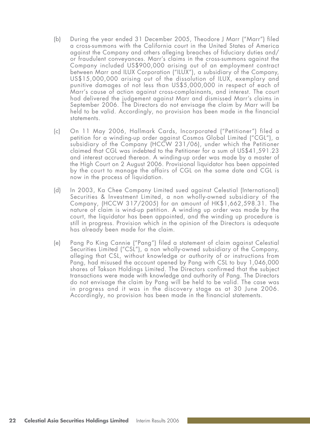- (b) During the year ended 31 December 2005, Theodore J Marr ("Marr") filed a cross-summons with the California court in the United States of America against the Company and others alleging breaches of fiduciary duties and/ or fraudulent conveyances. Marr's claims in the cross-summons against the Company included US\$900,000 arising out of an employment contract between Marr and ILUX Corporation ("ILUX"), a subsidiary of the Company, US\$15,000,000 arising out of the dissolution of ILUX, exemplary and punitive damages of not less than US\$5,000,000 in respect of each of Marr's cause of action against cross-complainants, and interest. The court had delivered the judgement against Marr and dismissed Marr's claims in September 2006. The Directors do not envisage the claim by Marr will be held to be valid. Accordingly, no provision has been made in the financial statements.
- (c) On 11 May 2006, Hallmark Cards, Incorporated ("Petitioner") filed a petition for a winding-up order against Cosmos Global Limited ("CGL"), a subsidiary of the Company (HCCW 231/06), under which the Petitioner claimed that CGL was indebted to the Petitioner for a sum of US\$41,591.23 and interest accrued thereon. A winding-up order was made by a master of the High Court on 2 August 2006. Provisional liquidator has been appointed by the court to manage the affairs of CGL on the same date and CGL is now in the process of liquidation.
- (d) In 2003, Ka Chee Company Limited sued against Celestial (International) Securities & Investment Limited, a non wholly-owned subsidiary of the Company, (HCCW 317/2005) for an amount of HK\$1,662,598.31. The nature of claim is wind-up petition. A winding up order was made by the court, the liquidator has been appointed, and the winding up procedure is still in progress. Provision which in the opinion of the Directors is adequate has already been made for the claim.
- (e) Pang Po King Cannie ("Pang") filed a statement of claim against Celestial Securities Limited ("CSL"), a non wholly-owned subsidiary of the Company, alleging that CSL, without knowledge or authority of or instructions from Pang, had misused the account opened by Pang with CSL to buy 1,046,000 shares of Takson Holdings Limited. The Directors confirmed that the subject transactions were made with knowledge and authority of Pang. The Directors do not envisage the claim by Pang will be held to be valid. The case was in progress and it was in the discovery stage as at 30 June 2006. Accordingly, no provision has been made in the financial statements.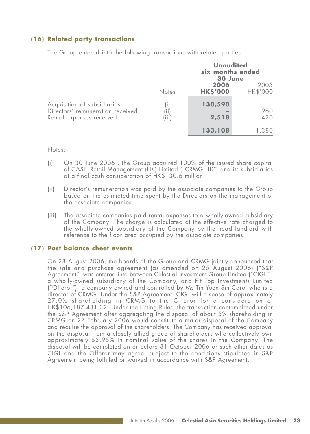#### **(16) Related party transactions**

The Group entered into the following transactions with related parties :

|                                                                                             |                                                                  | <b>Unaudited</b><br>six months ended<br>30 June |                  |
|---------------------------------------------------------------------------------------------|------------------------------------------------------------------|-------------------------------------------------|------------------|
|                                                                                             | <b>Notes</b>                                                     | 2006<br><b>HK\$'000</b>                         | 2005<br>HK\$'000 |
| Acquisition of subsidiaries<br>Directors' remuneration received<br>Rental expenses received | $\left( \begin{array}{c} 1 \end{array} \right)$<br>(ii)<br>(iii) | 130,590<br>2,518                                | 960<br>420       |
|                                                                                             |                                                                  | 133,108                                         | 1,380            |

Notes:

- (i) On 30 June 2006 , the Group acquired 100% of the issued share capital of CASH Retail Management (HK) Limited ("CRMG HK") and its subsidiaries at a final cash consideration of HK\$130.6 million.
- (ii) Director's remuneration was paid by the associate companies to the Group based on the estimated time spent by the Directors on the management of the associate companies.
- (iii) The associate companies paid rental expenses to a wholly-owned subsidiary of the Company. The charge is calculated at the effective rate charged to the wholly-owned subsidiary of the Company by the head landlord with reference to the floor area occupied by the associate companies.

#### **(17) Post balance sheet events**

On 28 August 2006, the boards of the Group and CRMG jointly announced that the sale and purchase agreement (as amended on 25 August 2006) ("S&P Agreement") was entered into between Celestial Investment Group Limited ("CIGL"), a wholly-owned subsidiary of the Company, and Fit Top Investments Limited ("Offeror"), a company owned and controlled by Ms Tin Yuen Sin Carol who is a director of CRMG. Under the S&P Agreement, CIGL will dispose of approximately 27.0% shareholding in CRMG to the Offeror for a consideration of HK\$106,187,431.32. Under the Listing Rules, the transaction contemplated under the S&P Agreement after aggregating the disposal of about 5% shareholding in CRMG on 27 February 2006 would constitute a major disposal of the Company and require the approval of the shareholders. The Company has received approval on the disposal from a closely allied group of shareholders who collectively own approximately 53.95% in nominal value of the shares in the Company. The disposal will be completed on or before 31 October 2006 or such other dates as CIGL and the Offeror may agree, subject to the conditions stipulated in S&P Agreement being fulfilled or waived in accordance with S&P Agreement.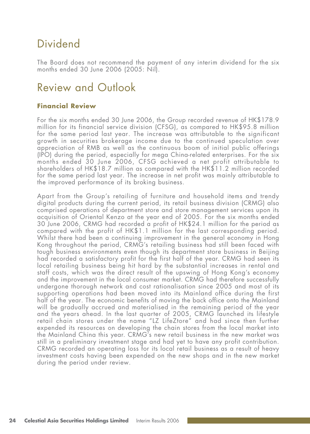# Dividend

The Board does not recommend the payment of any interim dividend for the six months ended 30 June 2006 (2005: Nil).

# Review and Outlook

### **Financial Review**

For the six months ended 30 June 2006, the Group recorded revenue of HK\$178.9 million for its financial service division (CFSG), as compared to HK\$95.8 million for the same period last year. The increase was attributable to the significant growth in securities brokerage income due to the continued speculation over appreciation of RMB as well as the continuous boom of initial public offerings (IPO) during the period, especially for mega China-related enterprises. For the six months ended 30 June 2006, CFSG achieved a net profit attributable to shareholders of HK\$18.7 million as compared with the HK\$11.2 million recorded for the same period last year. The increase in net profit was mainly attributable to the improved performance of its broking business.

Apart from the Group's retailing of furniture and household items and trendy digital products during the current period, its retail business division (CRMG) also comprised operations of department store and store management services upon its acquisition of Oriental Kenzo at the year end of 2005. For the six months ended 30 June 2006, CRMG had recorded a profit of HK\$24.1 million for the period as compared with the profit of HK\$1.1 million for the last corresponding period. Whilst there had been a continuing improvement in the general economy in Hong Kong throughout the period, CRMG's retailing business had still been faced with tough business environments even though its department store business in Beijing had recorded a satisfactory profit for the first half of the year. CRMG had seen its local retailing business being hit hard by the substantial increases in rental and staff costs, which was the direct result of the upswing of Hong Kong's economy and the improvement in the local consumer market. CRMG had therefore successfully undergone thorough network and cost rationalisation since 2005 and most of its supporting operations had been moved into its Mainland office during the first half of the year. The economic benefits of moving the back office onto the Mainland will be gradually accrued and materialised in the remaining period of the year and the years ahead. In the last quarter of 2005, CRMG launched its lifestyle retail chain stores under the name "LZ LifeZtore" and had since then further expended its resources on developing the chain stores from the local market into the Mainland China this year. CRMG's new retail business in the new market was still in a preliminary investment stage and had yet to have any profit contribution. CRMG recorded an operating loss for its local retail business as a result of heavy investment costs having been expended on the new shops and in the new market during the period under review.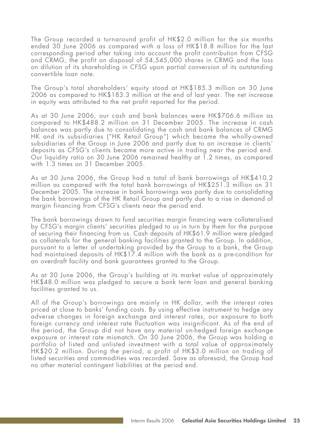The Group recorded a turnaround profit of HK\$2.0 million for the six months ended 30 June 2006 as compared with a loss of HK\$18.8 million for the last corresponding period after taking into account the profit contribution from CFSG and CRMG, the profit on disposal of 54,545,000 shares in CRMG and the loss on dilution of its shareholding in CFSG upon partial conversion of its outstanding convertible loan note.

The Group's total shareholders' equity stood at HK\$185.3 million on 30 June 2006 as compared to HK\$183.3 million at the end of last year. The net increase in equity was attributed to the net profit reported for the period.

As at 30 June 2006, our cash and bank balances were HK\$706.6 million as compared to HK\$488.2 million on 31 December 2005. The increase in cash balances was partly due to consolidating the cash and bank balances of CRMG HK and its subsidiaries ("HK Retail Group") which became the wholly-owned subsidiaries of the Group in June 2006 and partly due to an increase in clients' deposits as CFSG's clients became more active in trading near the period end. Our liquidity ratio on 30 June 2006 remained healthy at 1.2 times, as compared with 1.3 times on 31 December 2005.

As at 30 June 2006, the Group had a total of bank borrowings of HK\$410.2 million as compared with the total bank borrowings of HK\$251.3 million on 31 December 2005. The increase in bank borrowings was partly due to consolidating the bank borrowings of the HK Retail Group and partly due to a rise in demand of margin financing from CFSG's clients near the period end.

The bank borrowings drawn to fund securities margin financing were collateralised by CFSG's margin clients' securities pledged to us in turn by them for the purpose of securing their financing from us. Cash deposits of HK\$61.9 million were pledged as collaterals for the general banking facilities granted to the Group. In addition, pursuant to a letter of undertaking provided by the Group to a bank, the Group had maintained deposits of HK\$17.4 million with the bank as a pre-condition for an overdraft facility and bank guarantees granted to the Group.

As at 30 June 2006, the Group's building at its market value of approximately HK\$48.0 million was pledged to secure a bank term loan and general banking facilities granted to us.

All of the Group's borrowings are mainly in HK dollar, with the interest rates priced at close to banks' funding costs. By using effective instrument to hedge any adverse changes in foreign exchange and interest rates, our exposure to both foreign currency and interest rate fluctuation was insignificant. As of the end of the period, the Group did not have any material un-hedged foreign exchange exposure or interest rate mismatch. On 30 June 2006, the Group was holding a portfolio of listed and unlisted investment with a total value of approximately HK\$20.2 million. During the period, a profit of HK\$3.0 million on trading of listed securities and commodities was recorded. Save as aforesaid, the Group had no other material contingent liabilities at the period end.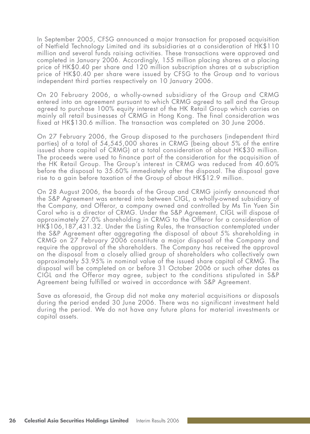In September 2005, CFSG announced a major transaction for proposed acquisition of Netfield Technology Limited and its subsidiaries at a consideration of HK\$110 million and several funds raising activities. These transactions were approved and completed in January 2006. Accordingly, 155 million placing shares at a placing price of HK\$0.40 per share and 120 million subscription shares at a subscription price of HK\$0.40 per share were issued by CFSG to the Group and to various independent third parties respectively on 10 January 2006.

On 20 February 2006, a wholly-owned subsidiary of the Group and CRMG entered into an agreement pursuant to which CRMG agreed to sell and the Group agreed to purchase 100% equity interest of the HK Retail Group which carries on mainly all retail businesses of CRMG in Hong Kong. The final consideration was fixed at HK\$130.6 million. The transaction was completed on 30 June 2006.

On 27 February 2006, the Group disposed to the purchasers (independent third parties) of a total of 54,545,000 shares in CRMG (being about 5% of the entire issued share capital of CRMG) at a total consideration of about HK\$30 million. The proceeds were used to finance part of the consideration for the acquisition of the HK Retail Group. The Group's interest in CRMG was reduced from 40.60% before the disposal to 35.60% immediately after the disposal. The disposal gave rise to a gain before taxation of the Group of about HK\$12.9 million.

On 28 August 2006, the boards of the Group and CRMG jointly announced that the S&P Agreement was entered into between CIGL, a wholly-owned subsidiary of the Company, and Offeror, a company owned and controlled by Ms Tin Yuen Sin Carol who is a director of CRMG. Under the S&P Agreement, CIGL will dispose of approximately 27.0% shareholding in CRMG to the Offeror for a consideration of HK\$106,187,431.32. Under the Listing Rules, the transaction contemplated under the S&P Agreement after aggregating the disposal of about 5% shareholding in CRMG on 27 February 2006 constitute a major disposal of the Company and require the approval of the shareholders. The Company has received the approval on the disposal from a closely allied group of shareholders who collectively own approximately 53.95% in nominal value of the issued share capital of CRMG. The disposal will be completed on or before 31 October 2006 or such other dates as CIGL and the Offeror may agree, subject to the conditions stipulated in S&P Agreement being fulfilled or waived in accordance with S&P Agreement.

Save as aforesaid, the Group did not make any material acquisitions or disposals during the period ended 30 June 2006. There was no significant investment held during the period. We do not have any future plans for material investments or capital assets.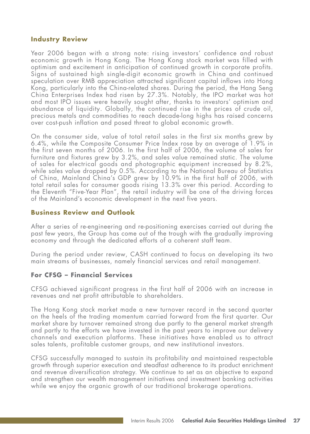### **Industry Review**

Year 2006 began with a strong note: rising investors' confidence and robust economic growth in Hong Kong. The Hong Kong stock market was filled with optimism and excitement in anticipation of continued growth in corporate profits. Signs of sustained high single-digit economic growth in China and continued speculation over RMB appreciation attracted significant capital inflows into Hong Kong, particularly into the China-related shares. During the period, the Hang Seng China Enterprises Index had risen by 27.3%. Notably, the IPO market was hot and most IPO issues were heavily sought after, thanks to investors' optimism and abundance of liquidity. Globally, the continued rise in the prices of crude oil, precious metals and commodities to reach decade-long highs has raised concerns over cost-push inflation and posed threat to global economic growth.

On the consumer side, value of total retail sales in the first six months grew by 6.4%, while the Composite Consumer Price Index rose by an average of 1.9% in the first seven months of 2006. In the first half of 2006, the volume of sales for furniture and fixtures grew by 3.2%, and sales value remained static. The volume of sales for electrical goods and photographic equipment increased by 8.2%, while sales value dropped by 0.5%. According to the National Bureau of Statistics of China, Mainland China's GDP grew by 10.9% in the first half of 2006, with total retail sales for consumer goods rising 13.3% over this period. According to the Eleventh "Five-Year Plan", the retail industry will be one of the driving forces of the Mainland's economic development in the next five years.

### **Business Review and Outlook**

After a series of re-engineering and re-positioning exercises carried out during the past few years, the Group has come out of the trough with the gradually improving economy and through the dedicated efforts of a coherent staff team.

During the period under review, CASH continued to focus on developing its two main streams of businesses, namely financial services and retail management.

#### **For CFSG – Financial Services**

CFSG achieved significant progress in the first half of 2006 with an increase in revenues and net profit attributable to shareholders.

The Hong Kong stock market made a new turnover record in the second quarter on the heels of the trading momentum carried forward from the first quarter. Our market share by turnover remained strong due partly to the general market strength and partly to the efforts we have invested in the past years to improve our delivery channels and execution platforms. These initiatives have enabled us to attract sales talents, profitable customer groups, and new institutional investors.

CFSG successfully managed to sustain its profitability and maintained respectable growth through superior execution and steadfast adherence to its product enrichment and revenue diversification strategy. We continue to set as an objective to expand and strengthen our wealth management initiatives and investment banking activities while we enjoy the organic growth of our traditional brokerage operations.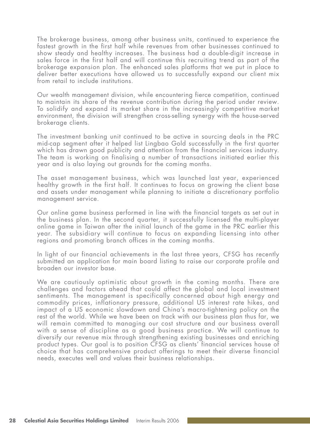The brokerage business, among other business units, continued to experience the fastest growth in the first half while revenues from other businesses continued to show steady and healthy increases. The business had a double-digit increase in sales force in the first half and will continue this recruiting trend as part of the brokerage expansion plan. The enhanced sales platforms that we put in place to deliver better executions have allowed us to successfully expand our client mix from retail to include institutions.

Our wealth management division, while encountering fierce competition, continued to maintain its share of the revenue contribution during the period under review. To solidify and expand its market share in the increasingly competitive market environment, the division will strengthen cross-selling synergy with the house-served brokerage clients.

The investment banking unit continued to be active in sourcing deals in the PRC mid-cap segment after it helped list Lingbao Gold successfully in the first quarter which has drawn good publicity and attention from the financial services industry. The team is working on finalising a number of transactions initiated earlier this year and is also laying out grounds for the coming months.

The asset management business, which was launched last year, experienced healthy growth in the first half. It continues to focus on growing the client base and assets under management while planning to initiate a discretionary portfolio management service.

Our online game business performed in line with the financial targets as set out in the business plan. In the second quarter, it successfully licensed the multi-player online game in Taiwan after the initial launch of the game in the PRC earlier this year. The subsidiary will continue to focus on expanding licensing into other regions and promoting branch offices in the coming months.

In light of our financial achievements in the last three years, CFSG has recently submitted an application for main board listing to raise our corporate profile and broaden our investor base.

We are cautiously optimistic about growth in the coming months. There are challenges and factors ahead that could affect the global and local investment sentiments. The management is specifically concerned about high energy and commodity prices, inflationary pressure, additional US interest rate hikes, and impact of a US economic slowdown and China's macro-tightening policy on the rest of the world. While we have been on track with our business plan thus far, we will remain committed to managing our cost structure and our business overall with a sense of discipline as a good business practice. We will continue to diversify our revenue mix through strengthening existing businesses and enriching product types. Our goal is to position CFSG as clients' financial services house of choice that has comprehensive product offerings to meet their diverse financial needs, executes well and values their business relationships.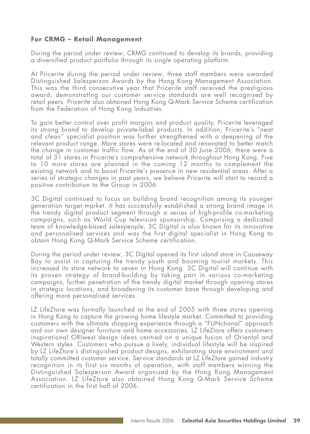### **For CRMG – Retail Management**

During the period under review, CRMG continued to develop its brands, providing a diversified product portfolio through its single operating platform.

At Pricerite during the period under review, three staff members were awarded Distinguished Salesperson Awards by the Hong Kong Management Association. This was the third consecutive year that Pricerite staff received the prestigious award, demonstrating our customer service standards are well recognised by retail peers. Pricerite also obtained Hong Kong Q-Mark Service Scheme certification from the Federation of Hong Kong Industries.

To gain better control over profit margins and product quality, Pricerite leveraged its strong brand to develop private-label products. In addition, Pricerite's "neat and clean" specialist position was further strengthened with a deepening of the relevant product range. More stores were re-located and renovated to better match the change in customer traffic flow. As at the end of 30 June 2006, there were a total of 31 stores in Pricerite's comprehensive network throughout Hong Kong. Five to 10 more stores are planned in the coming 12 months to complement the existing network and to boost Pricerite's presence in new residential areas. After a series of strategic changes in past years, we believe Pricerite will start to record a positive contribution to the Group in 2006.

3C Digital continued to focus on building brand recognition among its younger generation target market. It has successfully established a strong brand image in the trendy digital product segment through a series of high-profile co-marketing campaigns, such as World Cup television sponsorship. Comprising a dedicated team of knowledge-based salespeople, 3C Digital is also known for its innovative and personalised services and was the first digital specialist in Hong Kong to obtain Hong Kong Q-Mark Service Scheme certification.

During the period under review, 3C Digital opened its first island store in Causeway Bay to assist in capturing the trendy youth and booming tourist markets. This increased its store network to seven in Hong Kong. 3C Digital will continue with its proven strategy of brand-building by taking part in various co-marketing campaigns, further penetration of the trendy digital market through opening stores in strategic locations, and broadening its customer base through developing and offering more personalised services.

LZ LifeZtore was formally launched at the end of 2005 with three stores opening in Hong Kong to capture the growing home lifestyle market. Committed to providing customers with the ultimate shopping experience through a "FUNctional" approach and our own designer furniture and home accessories, LZ LifeZtore offers customers inspirational ORIwest design ideas centred on a unique fusion of Oriental and Western styles. Customers who pursue a lively, individual lifestyle will be inspired by LZ LifeZtore's distinguished product designs, exhilarating store environment and totally committed customer service. Service standards at LZ LifeZtore gained industry recognition in its first six months of operation, with staff members winning the Distinguished Salesperson Award organised by the Hong Kong Management Association. LZ LifeZtore also obtained Hong Kong Q-Mark Service Scheme certification in the first half of 2006.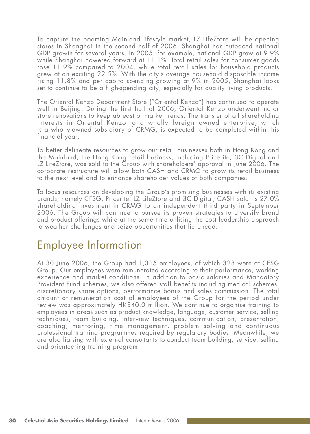To capture the booming Mainland lifestyle market, LZ LifeZtore will be opening stores in Shanghai in the second half of 2006. Shanghai has outpaced national GDP growth for several years. In 2005, for example, national GDP grew at 9.9% while Shanghai powered forward at 11.1%. Total retail sales for consumer goods rose 11.9% compared to 2004, while total retail sales for household products grew at an exciting 22.5%. With the city's average household disposable income rising 11.8% and per capita spending growing at 9% in 2005, Shanghai looks set to continue to be a high-spending city, especially for quality living products.

The Oriental Kenzo Department Store ("Oriental Kenzo") has continued to operate well in Beijing. During the first half of 2006, Oriental Kenzo underwent major store renovations to keep abreast of market trends. The transfer of all shareholding interests in Oriental Kenzo to a wholly foreign owned enterprise, which is a wholly-owned subsidiary of CRMG, is expected to be completed within this financial year.

To better delineate resources to grow our retail businesses both in Hong Kong and the Mainland, the Hong Kong retail business, including Pricerite, 3C Digital and LZ LifeZtore, was sold to the Group with shareholders' approval in June 2006. The corporate restructure will allow both CASH and CRMG to grow its retail business to the next level and to enhance shareholder values of both companies.

To focus resources on developing the Group's promising businesses with its existing brands, namely CFSG, Pricerite, LZ LifeZtore and 3C Digital, CASH sold its 27.0% shareholding investment in CRMG to an independent third party in September 2006. The Group will continue to pursue its proven strategies to diversify brand and product offerings while at the same time utilising the cost leadership approach to weather challenges and seize opportunities that lie ahead.

# Employee Information

At 30 June 2006, the Group had 1,315 employees, of which 328 were at CFSG Group. Our employees were remunerated according to their performance, working experience and market conditions. In addition to basic salaries and Mandatory Provident Fund schemes, we also offered staff benefits including medical schemes, discretionary share options, performance bonus and sales commission. The total amount of remuneration cost of employees of the Group for the period under review was approximately HK\$40.0 million. We continue to organise training to employees in areas such as product knowledge, language, customer service, selling techniques, team building, interview techniques, communication, presentation, coaching, mentoring, time management, problem solving and continuous professional training programmes required by regulatory bodies. Meanwhile, we are also liaising with external consultants to conduct team building, service, selling and orienteering training program.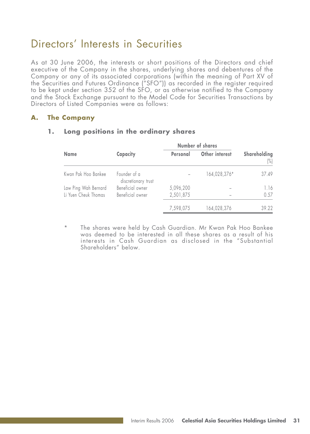### Directors' Interests in Securities

As at 30 June 2006, the interests or short positions of the Directors and chief executive of the Company in the shares, underlying shares and debentures of the Company or any of its associated corporations (within the meaning of Part XV of the Securities and Futures Ordinance ("SFO")) as recorded in the register required to be kept under section 352 of the SFO, or as otherwise notified to the Company and the Stock Exchange pursuant to the Model Code for Securities Transactions by Directors of Listed Companies were as follows:

### **A. The Company**

|                      |                                     | Number of shares |                |                               |
|----------------------|-------------------------------------|------------------|----------------|-------------------------------|
| <b>Name</b>          | Capacity                            | Personal         | Other interest | Shareholding<br>$\frac{1}{2}$ |
| Kwan Pak Hoo Bankee  | Founder of a<br>discretionary trust |                  | 164,028,376*   | 37.49                         |
| Law Ping Wah Bernard | Beneficial owner                    | 5,096,200        |                | 1.16                          |
| Li Yuen Cheuk Thomas | Beneficial owner                    | 2,501,875        |                | 0.57                          |
|                      |                                     | 7.598.075        | 164,028,376    | 39.22                         |

#### **1. Long positions in the ordinary shares**

The shares were held by Cash Guardian. Mr Kwan Pak Hoo Bankee was deemed to be interested in all these shares as a result of his interests in Cash Guardian as disclosed in the "Substantial Shareholders" below.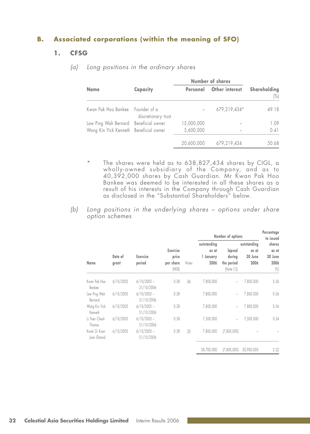### **B. Associated corporations (within the meaning of SFO)**

### **1. CFSG**

|                                        |                     | Number of shares |                |                     |
|----------------------------------------|---------------------|------------------|----------------|---------------------|
| Name                                   | Capacity            | Personal         | Other interest | Shareholding<br>(%) |
| Kwan Pak Hoo Bankee Founder of a       | discretionary trust |                  | 679.219.434*   | 49.18               |
| Law Ping Wah Bernard Beneficial owner  |                     | 15,000,000       |                | 1.09                |
| Wong Kin Yick Kenneth Beneficial owner |                     | 5,600,000        |                | 0.41                |
|                                        |                     | 20,600,000       | 679,219,434    | 50.68               |

(a) Long positions in the ordinary shares

- The shares were held as to  $638,827,434$  shares by CIGL, a wholly-owned subsidiary of the Company, and as to 40,392,000 shares by Cash Guardian. Mr Kwan Pak Hoo Bankee was deemed to be interested in all these shares as a result of his interests in the Company through Cash Guardian as disclosed in the "Substantial Shareholders" below.
- (b) Long positions in the underlying shares options under share option schemes

|                             |                    |                                          |       | Number of options          |                                              |                          |                                 |        | Percentage<br>to issued |
|-----------------------------|--------------------|------------------------------------------|-------|----------------------------|----------------------------------------------|--------------------------|---------------------------------|--------|-------------------------|
|                             |                    |                                          |       |                            | outstanding                                  |                          | outstanding                     | shares |                         |
| Date of<br>Name<br>grant    | Exercise<br>period | Exercise<br>price<br>per share<br>(HK\$) | Notes | as at<br>1 January<br>2006 | lapsed<br>durina<br>the period<br>[Note [1]] | as at<br>30 June<br>2006 | as at<br>30 June<br>2006<br>(%) |        |                         |
| Kwan Pak Hoo<br>Bankee      | 6/10/2005          | $6/10/2005 -$<br>31/10/2006              | 0.38  | [4]                        | 7,800,000                                    | $\overline{a}$           | 7,800,000                       | 0.56   |                         |
| Law Ping Wah<br>Bernard     | 6/10/2005          | $6/10/2005 -$<br>31/10/2006              | 0.38  |                            | 7,800,000                                    | ٠                        | 7,800,000                       | 0.56   |                         |
| Wong Kin Yick<br>Kenneth    | 6/10/2005          | $6/10/2005 -$<br>31/10/2006              | 0.38  |                            | 7,800,000                                    | ٠                        | 7,800,000                       | 0.56   |                         |
| Li Yuen Cheuk<br>Thomas     | 6/10/2005          | $6/10/2005 -$<br>31/10/2006              | 0.38  |                            | 7.500.000                                    | ٠                        | 7.500.000                       | 0.54   |                         |
| Kwok Oi Kuen<br>Joan Elmond | 6/10/2005          | $6/10/2005 -$<br>31/10/2006              | 0.38  | 3                          | 7,800,000                                    | (7,800,000)              |                                 |        |                         |
|                             |                    |                                          |       |                            | 38,700,000                                   | [7,800,000]              | 30,900,000                      | 2.22   |                         |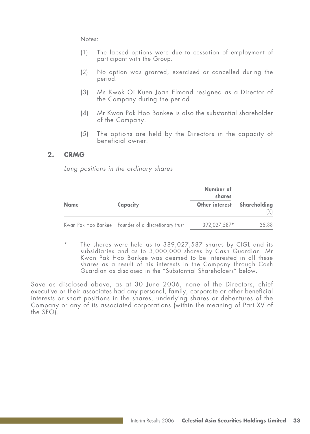Notes:

- (1) The lapsed options were due to cessation of employment of participant with the Group.
- (2) No option was granted, exercised or cancelled during the period.
- (3) Ms Kwok Oi Kuen Joan Elmond resigned as a Director of the Company during the period.
- (4) Mr Kwan Pak Hoo Bankee is also the substantial shareholder of the Company.
- (5) The options are held by the Directors in the capacity of beneficial owner.

#### **2. CRMG**

Long positions in the ordinary shares

|             |                                                      | Number of<br>shares | Shareholding<br>(%) |  |
|-------------|------------------------------------------------------|---------------------|---------------------|--|
| <b>Name</b> | Capacity                                             | Other interest      |                     |  |
|             | Kwan Pak Hoo Bankee Founder of a discretionary trust | 392.027.587*        | 35.88               |  |

The shares were held as to 389,027,587 shares by CIGL and its subsidiaries and as to 3,000,000 shares by Cash Guardian. Mr Kwan Pak Hoo Bankee was deemed to be interested in all these shares as a result of his interests in the Company through Cash Guardian as disclosed in the "Substantial Shareholders" below.

Save as disclosed above, as at 30 June 2006, none of the Directors, chief executive or their associates had any personal, family, corporate or other beneficial interests or short positions in the shares, underlying shares or debentures of the Company or any of its associated corporations (within the meaning of Part XV of the SFO).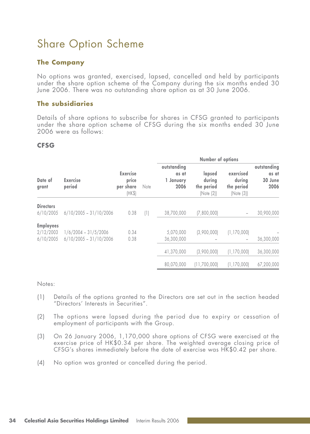# Share Option Scheme

### **The Company**

No options was granted, exercised, lapsed, cancelled and held by participants under the share option scheme of the Company during the six months ended 30 June 2006. There was no outstanding share option as at 30 June 2006.

### **The subsidiaries**

Details of share options to subscribe for shares in CFSG granted to participants under the share option scheme of CFSG during the six months ended 30 June 2006 were as follows:

### **CFSG**

|                                            |                                                    |                                                 |      | Number of options                         |                                              |                                                 |                                         |
|--------------------------------------------|----------------------------------------------------|-------------------------------------------------|------|-------------------------------------------|----------------------------------------------|-------------------------------------------------|-----------------------------------------|
| Date of<br>grant                           | <b>Exercise</b><br>period                          | <b>Exercise</b><br>price<br>per share<br>(HK\$) | Note | outstanding<br>as at<br>1 January<br>2006 | lapsed<br>during<br>the period<br>(Note (2)) | exercised<br>durina<br>the period<br>(Note (3)) | outstanding<br>as at<br>30 June<br>2006 |
| <b>Directors</b><br>6/10/2005              | $6/10/2005 - 31/10/2006$                           | 0.38                                            | (1)  | 38,700,000                                | (7,800,000)                                  |                                                 | 30,900,000                              |
| <b>Employees</b><br>2/12/2003<br>6/10/2005 | $1/6/2004 - 31/5/2006$<br>$6/10/2005 - 31/10/2006$ | 0.34<br>0.38                                    |      | 5,070,000<br>36.300.000                   | (3,900,000)                                  | (1, 170, 000)                                   | 36,300,000                              |
|                                            |                                                    |                                                 |      | 41.370.000                                | (3,900,000)                                  | (1, 170, 000)                                   | 36,300,000                              |
|                                            |                                                    |                                                 |      | 80,070,000                                | (11,700,000)                                 | (1, 170, 000)                                   | 67,200,000                              |
|                                            |                                                    |                                                 |      |                                           |                                              |                                                 |                                         |

Notes:

- (1) Details of the options granted to the Directors are set out in the section headed "Directors' Interests in Securities".
- (2) The options were lapsed during the period due to expiry or cessation of employment of participants with the Group.
- (3) On 26 January 2006, 1,170,000 share options of CFSG were exercised at the exercise price of HK\$0.34 per share. The weighted average closing price of CFSG's shares immediately before the date of exercise was HK\$0.42 per share.
- (4) No option was granted or cancelled during the period.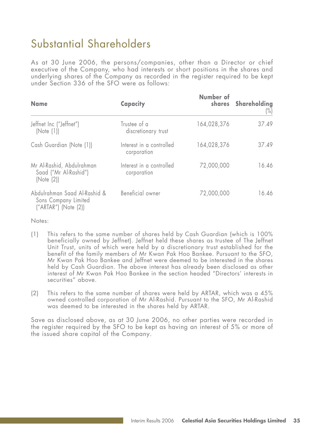# Substantial Shareholders

As at 30 June 2006, the persons/companies, other than a Director or chief executive of the Company, who had interests or short positions in the shares and underlying shares of the Company as recorded in the register required to be kept under Section 336 of the SFO were as follows:

| <b>Name</b>                                                                  | Capacity                                | Number of   | shares Shareholding<br>$(\%)$ |  |
|------------------------------------------------------------------------------|-----------------------------------------|-------------|-------------------------------|--|
| Jeffnet Inc ("Jeffnet")<br>(Note (1))                                        | Trustee of a<br>discretionary trust     | 164,028,376 | 37.49                         |  |
| Cash Guardian (Note (1))                                                     | Interest in a controlled<br>corporation | 164,028,376 | 37.49                         |  |
| Mr Al-Rashid, Abdulrahman<br>Saad ("Mr Al-Rashid")<br>[Note [2]]             | Interest in a controlled<br>corporation | 72.000.000  | 16.46                         |  |
| Abdulrahman Saad Al-Rashid &<br>Sons Company Limited<br>("ARTAR") (Note (2)) | Beneficial owner                        | 72.000.000  | 16.46                         |  |

Notes:

- (1) This refers to the same number of shares held by Cash Guardian (which is 100% beneficially owned by Jeffnet). Jeffnet held these shares as trustee of The Jeffnet Unit Trust, units of which were held by a discretionary trust established for the benefit of the family members of Mr Kwan Pak Hoo Bankee. Pursuant to the SFO, Mr Kwan Pak Hoo Bankee and Jeffnet were deemed to be interested in the shares held by Cash Guardian. The above interest has already been disclosed as other interest of Mr Kwan Pak Hoo Bankee in the section headed "Directors' interests in securities" above.
- (2) This refers to the same number of shares were held by ARTAR, which was a 45% owned controlled corporation of Mr Al-Rashid. Pursuant to the SFO, Mr Al-Rashid was deemed to be interested in the shares held by ARTAR.

Save as disclosed above, as at 30 June 2006, no other parties were recorded in the register required by the SFO to be kept as having an interest of 5% or more of the issued share capital of the Company.